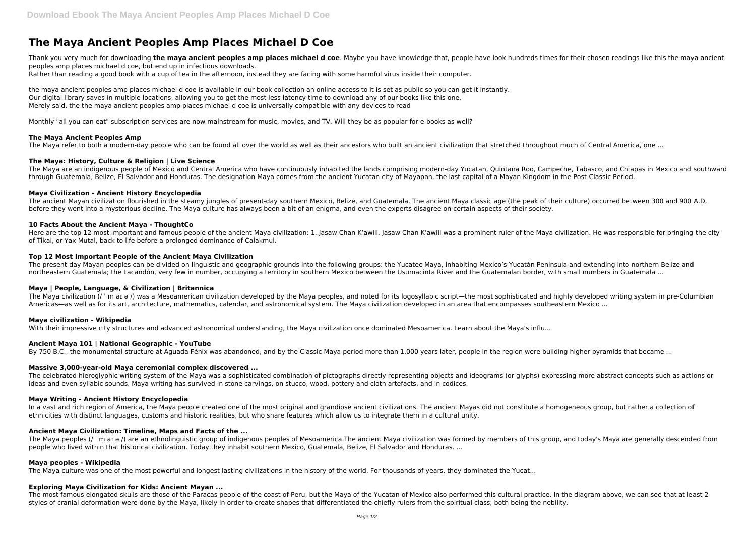# **The Maya Ancient Peoples Amp Places Michael D Coe**

Thank you very much for downloading **the maya ancient peoples amp places michael d coe**. Maybe you have knowledge that, people have look hundreds times for their chosen readings like this the maya ancient peoples amp places michael d coe, but end up in infectious downloads.

Rather than reading a good book with a cup of tea in the afternoon, instead they are facing with some harmful virus inside their computer.

the maya ancient peoples amp places michael d coe is available in our book collection an online access to it is set as public so you can get it instantly. Our digital library saves in multiple locations, allowing you to get the most less latency time to download any of our books like this one. Merely said, the the maya ancient peoples amp places michael d coe is universally compatible with any devices to read

Monthly "all you can eat" subscription services are now mainstream for music, movies, and TV. Will they be as popular for e-books as well?

## **The Maya Ancient Peoples Amp**

The Maya refer to both a modern-day people who can be found all over the world as well as their ancestors who built an ancient civilization that stretched throughout much of Central America, one ...

Here are the top 12 most important and famous people of the ancient Maya civilization: 1. Jasaw Chan K'awiil. Jasaw Chan K'awiil was a prominent ruler of the Maya civilization. He was responsible for bringing the city of Tikal, or Yax Mutal, back to life before a prolonged dominance of Calakmul.

The present-day Mayan peoples can be divided on linguistic and geographic grounds into the following groups: the Yucatec Maya, inhabiting Mexico's Yucatán Peninsula and extending into northern Belize and northeastern Guatemala; the Lacandón, very few in number, occupying a territory in southern Mexico between the Usumacinta River and the Guatemalan border, with small numbers in Guatemala ...

## **The Maya: History, Culture & Religion | Live Science**

The Maya are an indigenous people of Mexico and Central America who have continuously inhabited the lands comprising modern-day Yucatan, Quintana Roo, Campeche, Tabasco, and Chiapas in Mexico and southward through Guatemala, Belize, El Salvador and Honduras. The designation Maya comes from the ancient Yucatan city of Mayapan, the last capital of a Mayan Kingdom in the Post-Classic Period.

The Maya civilization (/ ' m at  $\theta$ ) was a Mesoamerican civilization developed by the Maya peoples, and noted for its logosyllabic script—the most sophisticated and highly developed writing system in pre-Columbian Americas—as well as for its art, architecture, mathematics, calendar, and astronomical system. The Maya civilization developed in an area that encompasses southeastern Mexico ...

# **Maya Civilization - Ancient History Encyclopedia**

The ancient Mayan civilization flourished in the steamy jungles of present-day southern Mexico, Belize, and Guatemala. The ancient Maya classic age (the peak of their culture) occurred between 300 and 900 A.D. before they went into a mysterious decline. The Maya culture has always been a bit of an enigma, and even the experts disagree on certain aspects of their society.

The celebrated hieroglyphic writing system of the Maya was a sophisticated combination of pictographs directly representing objects and ideograms (or glyphs) expressing more abstract concepts such as actions or ideas and even syllabic sounds. Maya writing has survived in stone carvings, on stucco, wood, pottery and cloth artefacts, and in codices.

## **10 Facts About the Ancient Maya - ThoughtCo**

In a vast and rich region of America, the Maya people created one of the most original and grandiose ancient civilizations. The ancient Mayas did not constitute a homogeneous group, but rather a collection of ethnicities with distinct languages, customs and historic realities, but who share features which allow us to integrate them in a cultural unity.

## **Top 12 Most Important People of the Ancient Maya Civilization**

#### **Maya | People, Language, & Civilization | Britannica**

#### **Maya civilization - Wikipedia**

With their impressive city structures and advanced astronomical understanding, the Maya civilization once dominated Mesoamerica. Learn about the Maya's influ...

#### **Ancient Maya 101 | National Geographic - YouTube**

By 750 B.C., the monumental structure at Aguada Fénix was abandoned, and by the Classic Maya period more than 1,000 years later, people in the region were building higher pyramids that became ...

#### **Massive 3,000-year-old Maya ceremonial complex discovered ...**

#### **Maya Writing - Ancient History Encyclopedia**

#### **Ancient Maya Civilization: Timeline, Maps and Facts of the ...**

The Maya peoples (/ ˈ m aɪ ə /) are an ethnolinguistic group of indigenous peoples of Mesoamerica.The ancient Maya civilization was formed by members of this group, and today's Maya are generally descended from people who lived within that historical civilization. Today they inhabit southern Mexico, Guatemala, Belize, El Salvador and Honduras. ...

#### **Maya peoples - Wikipedia**

The Maya culture was one of the most powerful and longest lasting civilizations in the history of the world. For thousands of years, they dominated the Yucat...

# **Exploring Maya Civilization for Kids: Ancient Mayan ...**

The most famous elongated skulls are those of the Paracas people of the coast of Peru, but the Maya of the Yucatan of Mexico also performed this cultural practice. In the diagram above, we can see that at least 2 styles of cranial deformation were done by the Maya, likely in order to create shapes that differentiated the chiefly rulers from the spiritual class; both being the nobility.